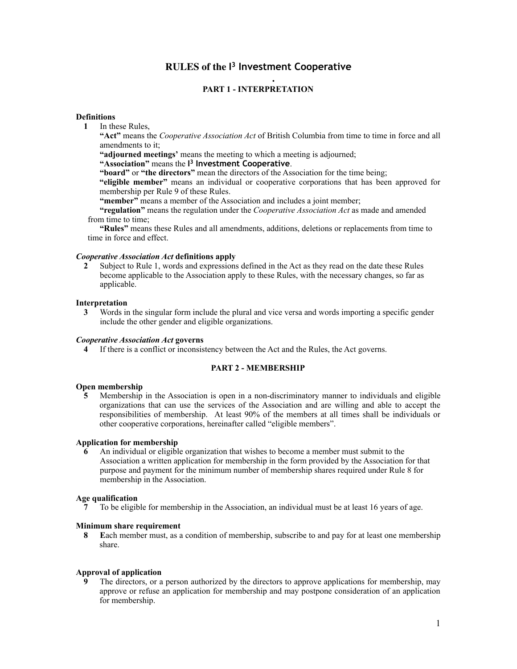# **RULES of the I 3 Investment Cooperative**

## **. PART 1 - INTERPRETATION**

## **Definitions**

**1** In these Rules,

**"Act"** means the *Cooperative Association Act* of British Columbia from time to time in force and all amendments to it;

**"adjourned meetings'** means the meeting to which a meeting is adjourned;

**"Association"** means the **I 3 Investment Cooperative**.

**"board"** or **"the directors"** mean the directors of the Association for the time being;

**"eligible member"** means an individual or cooperative corporations that has been approved for membership per Rule 9 of these Rules.

**"member"** means a member of the Association and includes a joint member;

**"regulation"** means the regulation under the *Cooperative Association Act* as made and amended from time to time;

**"Rules"** means these Rules and all amendments, additions, deletions or replacements from time to time in force and effect.

## *Cooperative Association Act* **definitions apply**

**2** Subject to Rule 1, words and expressions defined in the Act as they read on the date these Rules become applicable to the Association apply to these Rules, with the necessary changes, so far as applicable.

## **Interpretation**

**3** Words in the singular form include the plural and vice versa and words importing a specific gender include the other gender and eligible organizations.

#### *Cooperative Association Act* **governs**

**4** If there is a conflict or inconsistency between the Act and the Rules, the Act governs.

## **PART 2 - MEMBERSHIP**

# **Open membership**

**5** Membership in the Association is open in a non-discriminatory manner to individuals and eligible organizations that can use the services of the Association and are willing and able to accept the responsibilities of membership. At least 90% of the members at all times shall be individuals or other cooperative corporations, hereinafter called "eligible members".

#### **Application for membership**

**6** An individual or eligible organization that wishes to become a member must submit to the Association a written application for membership in the form provided by the Association for that purpose and payment for the minimum number of membership shares required under Rule 8 for membership in the Association.

#### **Age qualification**

 **7** To be eligible for membership in the Association, an individual must be at least 16 years of age.

#### **Minimum share requirement**

 **8 E**ach member must, as a condition of membership, subscribe to and pay for at least one membership share.

#### **Approval of application**

The directors, or a person authorized by the directors to approve applications for membership, may approve or refuse an application for membership and may postpone consideration of an application for membership.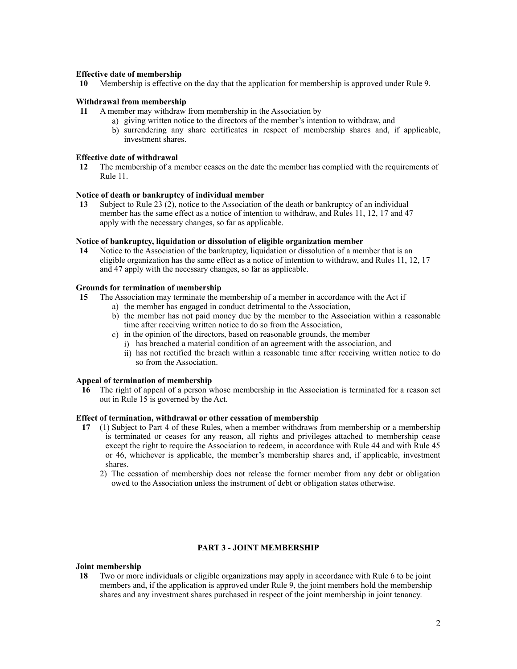## **Effective date of membership**

 **10** Membership is effective on the day that the application for membership is approved under Rule 9.

#### **Withdrawal from membership**

- **11** A member may withdraw from membership in the Association by
	- a) giving written notice to the directors of the member's intention to withdraw, and
	- b) surrendering any share certificates in respect of membership shares and, if applicable, investment shares.

## **Effective date of withdrawal**

 **12** The membership of a member ceases on the date the member has complied with the requirements of Rule 11.

## **Notice of death or bankruptcy of individual member**

 **13** Subject to Rule 23 (2), notice to the Association of the death or bankruptcy of an individual member has the same effect as a notice of intention to withdraw, and Rules 11, 12, 17 and 47 apply with the necessary changes, so far as applicable.

# **Notice of bankruptcy, liquidation or dissolution of eligible organization member**

 **14** Notice to the Association of the bankruptcy, liquidation or dissolution of a member that is an eligible organization has the same effect as a notice of intention to withdraw, and Rules 11, 12, 17 and 47 apply with the necessary changes, so far as applicable.

## **Grounds for termination of membership**

- **15** The Association may terminate the membership of a member in accordance with the Act if
	- a) the member has engaged in conduct detrimental to the Association,
	- b) the member has not paid money due by the member to the Association within a reasonable time after receiving written notice to do so from the Association,
	- c) in the opinion of the directors, based on reasonable grounds, the member
		- i) has breached a material condition of an agreement with the association, and
		- ii) has not rectified the breach within a reasonable time after receiving written notice to do so from the Association.

#### **Appeal of termination of membership**

**16** The right of appeal of a person whose membership in the Association is terminated for a reason set out in Rule 15 is governed by the Act.

## **Effect of termination, withdrawal or other cessation of membership**

- **17** (1) Subject to Part 4 of these Rules, when a member withdraws from membership or a membership is terminated or ceases for any reason, all rights and privileges attached to membership cease except the right to require the Association to redeem, in accordance with Rule 44 and with Rule 45 or 46, whichever is applicable, the member's membership shares and, if applicable, investment shares.
	- 2) The cessation of membership does not release the former member from any debt or obligation owed to the Association unless the instrument of debt or obligation states otherwise.

## **PART 3 - JOINT MEMBERSHIP**

## **Joint membership**

 **18** Two or more individuals or eligible organizations may apply in accordance with Rule 6 to be joint members and, if the application is approved under Rule  $\overline{9}$ , the joint members hold the membership shares and any investment shares purchased in respect of the joint membership in joint tenancy.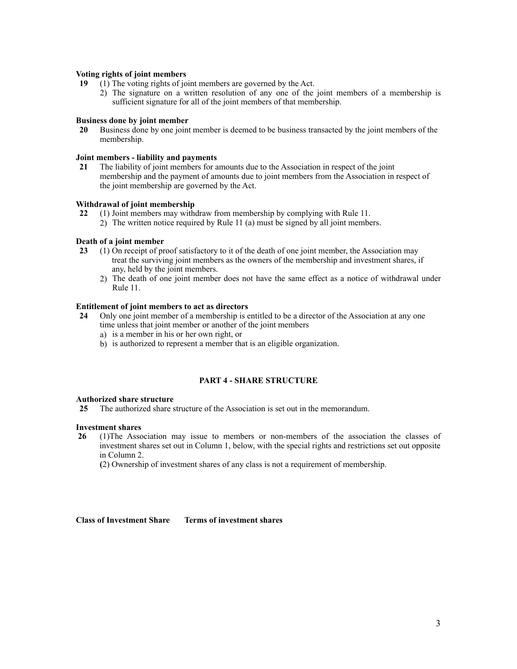## **Voting rights of joint members**

- **19** (1) The voting rights of joint members are governed by the Act.
	- 2) The signature on a written resolution of any one of the joint members of a membership is sufficient signature for all of the joint members of that membership.

## **Business done by joint member**

 **20** Business done by one joint member is deemed to be business transacted by the joint members of the membership.

## **Joint members - liability and payments**

 **21** The liability of joint members for amounts due to the Association in respect of the joint membership and the payment of amounts due to joint members from the Association in respect of the joint membership are governed by the Act.

## **Withdrawal of joint membership**

- **22** (1) Joint members may withdraw from membership by complying with Rule 11.
	- 2) The written notice required by Rule 11 (a) must be signed by all joint members.

## **Death of a joint member**

- **23** (1) On receipt of proof satisfactory to it of the death of one joint member, the Association may treat the surviving joint members as the owners of the membership and investment shares, if any, held by the joint members.
	- 2) The death of one joint member does not have the same effect as a notice of withdrawal under Rule 11.

## **Entitlement of joint members to act as directors**

- **24** Only one joint member of a membership is entitled to be a director of the Association at any one time unless that joint member or another of the joint members
	- a) is a member in his or her own right, or
	- b) is authorized to represent a member that is an eligible organization.

## **PART 4 - SHARE STRUCTURE**

## **Authorized share structure**

 **25** The authorized share structure of the Association is set out in the memorandum.

#### **Investment shares**

 **26** (1)The Association may issue to members or non-members of the association the classes of investment shares set out in Column 1, below, with the special rights and restrictions set out opposite in Column 2.

 **(**2) Ownership of investment shares of any class is not a requirement of membership.

**Class of Investment Share Terms of investment shares**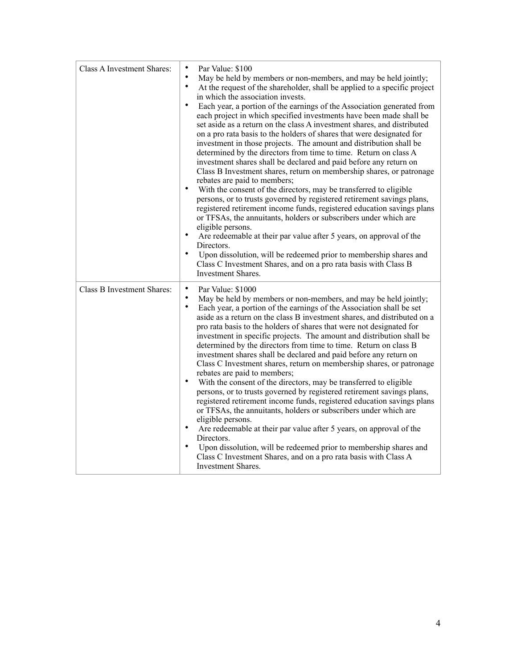| Class A Investment Shares: | $\bullet$<br>Par Value: \$100<br>$\bullet$<br>May be held by members or non-members, and may be held jointly;<br>$\bullet$<br>At the request of the shareholder, shall be applied to a specific project<br>in which the association invests.<br>Each year, a portion of the earnings of the Association generated from<br>each project in which specified investments have been made shall be<br>set aside as a return on the class A investment shares, and distributed<br>on a pro rata basis to the holders of shares that were designated for<br>investment in those projects. The amount and distribution shall be<br>determined by the directors from time to time. Return on class A<br>investment shares shall be declared and paid before any return on<br>Class B Investment shares, return on membership shares, or patronage<br>rebates are paid to members;<br>$\bullet$<br>With the consent of the directors, may be transferred to eligible<br>persons, or to trusts governed by registered retirement savings plans,<br>registered retirement income funds, registered education savings plans<br>or TFSAs, the annuitants, holders or subscribers under which are<br>eligible persons.<br>$\bullet$<br>Are redeemable at their par value after 5 years, on approval of the<br>Directors.<br>$\bullet$<br>Upon dissolution, will be redeemed prior to membership shares and<br>Class C Investment Shares, and on a pro rata basis with Class B<br><b>Investment Shares.</b> |
|----------------------------|---------------------------------------------------------------------------------------------------------------------------------------------------------------------------------------------------------------------------------------------------------------------------------------------------------------------------------------------------------------------------------------------------------------------------------------------------------------------------------------------------------------------------------------------------------------------------------------------------------------------------------------------------------------------------------------------------------------------------------------------------------------------------------------------------------------------------------------------------------------------------------------------------------------------------------------------------------------------------------------------------------------------------------------------------------------------------------------------------------------------------------------------------------------------------------------------------------------------------------------------------------------------------------------------------------------------------------------------------------------------------------------------------------------------------------------------------------------------------------------------|
| Class B Investment Shares: | $\bullet$<br>Par Value: \$1000<br>$\bullet$<br>May be held by members or non-members, and may be held jointly;<br>$\bullet$<br>Each year, a portion of the earnings of the Association shall be set<br>aside as a return on the class B investment shares, and distributed on a<br>pro rata basis to the holders of shares that were not designated for<br>investment in specific projects. The amount and distribution shall be<br>determined by the directors from time to time. Return on class B<br>investment shares shall be declared and paid before any return on<br>Class C Investment shares, return on membership shares, or patronage<br>rebates are paid to members;<br>$\bullet$<br>With the consent of the directors, may be transferred to eligible<br>persons, or to trusts governed by registered retirement savings plans,<br>registered retirement income funds, registered education savings plans<br>or TFSAs, the annuitants, holders or subscribers under which are<br>eligible persons.<br>Are redeemable at their par value after 5 years, on approval of the<br>Directors.<br>Upon dissolution, will be redeemed prior to membership shares and<br>Class C Investment Shares, and on a pro rata basis with Class A<br><b>Investment Shares.</b>                                                                                                                                                                                                                  |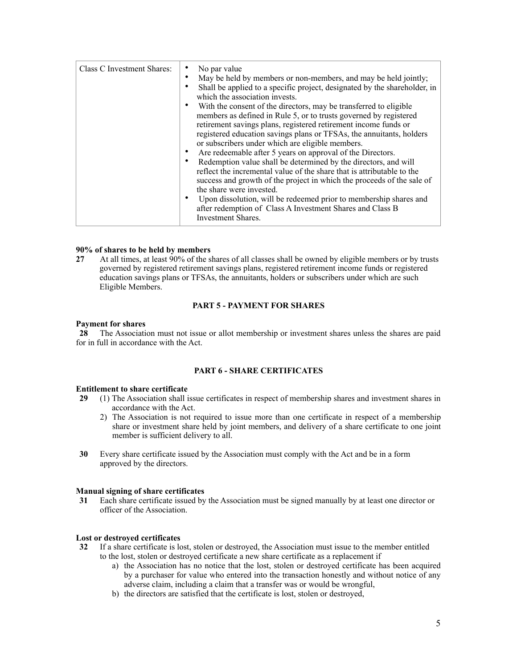| Class C Investment Shares: | No par value<br>May be held by members or non-members, and may be held jointly;<br>Shall be applied to a specific project, designated by the shareholder, in<br>which the association invests.<br>With the consent of the directors, may be transferred to eligible<br>members as defined in Rule 5, or to trusts governed by registered<br>retirement savings plans, registered retirement income funds or<br>registered education savings plans or TFSAs, the annuitants, holders<br>or subscribers under which are eligible members.<br>Are redeemable after 5 years on approval of the Directors.<br>Redemption value shall be determined by the directors, and will<br>reflect the incremental value of the share that is attributable to the<br>success and growth of the project in which the proceeds of the sale of<br>the share were invested. |
|----------------------------|----------------------------------------------------------------------------------------------------------------------------------------------------------------------------------------------------------------------------------------------------------------------------------------------------------------------------------------------------------------------------------------------------------------------------------------------------------------------------------------------------------------------------------------------------------------------------------------------------------------------------------------------------------------------------------------------------------------------------------------------------------------------------------------------------------------------------------------------------------|
|                            | Upon dissolution, will be redeemed prior to membership shares and<br>after redemption of Class A Investment Shares and Class B<br>Investment Shares.                                                                                                                                                                                                                                                                                                                                                                                                                                                                                                                                                                                                                                                                                                     |

### **90% of shares to be held by members**

**27** At all times, at least 90% of the shares of all classes shall be owned by eligible members or by trusts governed by registered retirement savings plans, registered retirement income funds or registered education savings plans or TFSAs, the annuitants, holders or subscribers under which are such Eligible Members.

## **PART 5 - PAYMENT FOR SHARES**

#### **Payment for shares**

 **28** The Association must not issue or allot membership or investment shares unless the shares are paid for in full in accordance with the Act.

#### **PART 6 - SHARE CERTIFICATES**

#### **Entitlement to share certificate**

- **29** (1) The Association shall issue certificates in respect of membership shares and investment shares in accordance with the Act.
	- 2) The Association is not required to issue more than one certificate in respect of a membership share or investment share held by joint members, and delivery of a share certificate to one joint member is sufficient delivery to all.
- **30** Every share certificate issued by the Association must comply with the Act and be in a form approved by the directors.

#### **Manual signing of share certificates**

 **31** Each share certificate issued by the Association must be signed manually by at least one director or officer of the Association.

#### **Lost or destroyed certificates**

- **32** If a share certificate is lost, stolen or destroyed, the Association must issue to the member entitled to the lost, stolen or destroyed certificate a new share certificate as a replacement if
	- a) the Association has no notice that the lost, stolen or destroyed certificate has been acquired by a purchaser for value who entered into the transaction honestly and without notice of any adverse claim, including a claim that a transfer was or would be wrongful,
	- b) the directors are satisfied that the certificate is lost, stolen or destroyed,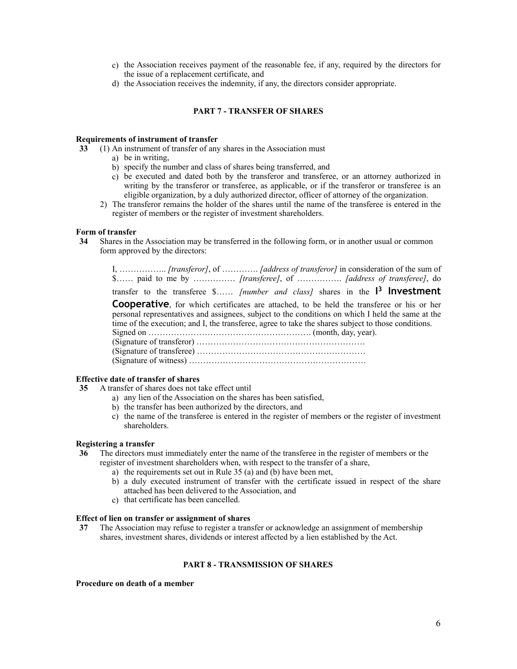- c) the Association receives payment of the reasonable fee, if any, required by the directors for the issue of a replacement certificate, and
- d) the Association receives the indemnity, if any, the directors consider appropriate.

## **PART 7 - TRANSFER OF SHARES**

## **Requirements of instrument of transfer**

- **33** (1) An instrument of transfer of any shares in the Association must
	- a) be in writing,
	- b) specify the number and class of shares being transferred, and
	- c) be executed and dated both by the transferor and transferee, or an attorney authorized in writing by the transferor or transferee, as applicable, or if the transferor or transferee is an eligible organization, by a duly authorized director, officer of attorney of the organization.
	- 2) The transferor remains the holder of the shares until the name of the transferee is entered in the register of members or the register of investment shareholders.

#### **Form of transfer**

 **34** Shares in the Association may be transferred in the following form, or in another usual or common form approved by the directors:

I, …………….. *[transferor]*, of …………. *[address of transferor]* in consideration of the sum of \$…… paid to me by …………… *[transferee]*, of ……………. *[address of transferee]*, do

transfer to the transferee \$…… *[number and class]* shares in the **I <sup>3</sup> Investment** 

**Cooperative**, for which certificates are attached, to be held the transferee or his or her personal representatives and assignees, subject to the conditions on which I held the same at the time of the execution; and I, the transferee, agree to take the shares subject to those conditions.

Signed on …………………………………………………. (month, day, year). (Signature of transferor) …………………………………………………… (Signature of transferee) …………………………………………………… (Signature of witness) ………………………………………………………

#### **Effective date of transfer of shares**

- **35** A transfer of shares does not take effect until
	- a) any lien of the Association on the shares has been satisfied,
	- b) the transfer has been authorized by the directors, and
	- c) the name of the transferee is entered in the register of members or the register of investment shareholders.

#### **Registering a transfer**

- **36** The directors must immediately enter the name of the transferee in the register of members or the register of investment shareholders when, with respect to the transfer of a share,
	- a) the requirements set out in Rule 35 (a) and (b) have been met,
	- b) a duly executed instrument of transfer with the certificate issued in respect of the share attached has been delivered to the Association, and
	- c) that certificate has been cancelled.

#### **Effect of lien on transfer or assignment of shares**

 **37** The Association may refuse to register a transfer or acknowledge an assignment of membership shares, investment shares, dividends or interest affected by a lien established by the Act.

## **PART 8 - TRANSMISSION OF SHARES**

**Procedure on death of a member**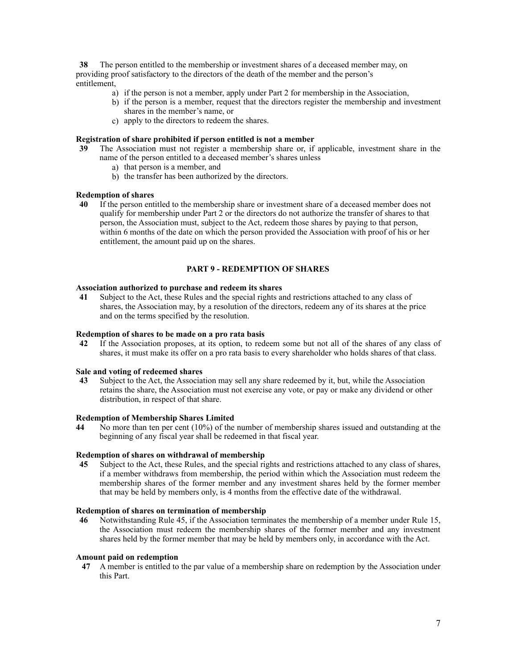**38** The person entitled to the membership or investment shares of a deceased member may, on providing proof satisfactory to the directors of the death of the member and the person's entitlement,

- a) if the person is not a member, apply under Part 2 for membership in the Association,
- b) if the person is a member, request that the directors register the membership and investment shares in the member's name, or
- c) apply to the directors to redeem the shares.

## **Registration of share prohibited if person entitled is not a member**

- **39** The Association must not register a membership share or, if applicable, investment share in the name of the person entitled to a deceased member's shares unless
	- a) that person is a member, and
	- b) the transfer has been authorized by the directors.

#### **Redemption of shares**

 **40** If the person entitled to the membership share or investment share of a deceased member does not qualify for membership under Part 2 or the directors do not authorize the transfer of shares to that person, the Association must, subject to the Act, redeem those shares by paying to that person, within 6 months of the date on which the person provided the Association with proof of his or her entitlement, the amount paid up on the shares.

# **PART 9 - REDEMPTION OF SHARES**

## **Association authorized to purchase and redeem its shares**

 **41** Subject to the Act, these Rules and the special rights and restrictions attached to any class of shares, the Association may, by a resolution of the directors, redeem any of its shares at the price and on the terms specified by the resolution.

#### **Redemption of shares to be made on a pro rata basis**

 **42** If the Association proposes, at its option, to redeem some but not all of the shares of any class of shares, it must make its offer on a pro rata basis to every shareholder who holds shares of that class.

## **Sale and voting of redeemed shares**

 **43** Subject to the Act, the Association may sell any share redeemed by it, but, while the Association retains the share, the Association must not exercise any vote, or pay or make any dividend or other distribution, in respect of that share.

## **Redemption of Membership Shares Limited**

**44** No more than ten per cent (10%) of the number of membership shares issued and outstanding at the beginning of any fiscal year shall be redeemed in that fiscal year.

## **Redemption of shares on withdrawal of membership**

 **45** Subject to the Act, these Rules, and the special rights and restrictions attached to any class of shares, if a member withdraws from membership, the period within which the Association must redeem the membership shares of the former member and any investment shares held by the former member that may be held by members only, is 4 months from the effective date of the withdrawal.

## **Redemption of shares on termination of membership**

 **46** Notwithstanding Rule 45, if the Association terminates the membership of a member under Rule 15, the Association must redeem the membership shares of the former member and any investment shares held by the former member that may be held by members only, in accordance with the Act.

#### **Amount paid on redemption**

 **47** A member is entitled to the par value of a membership share on redemption by the Association under this Part.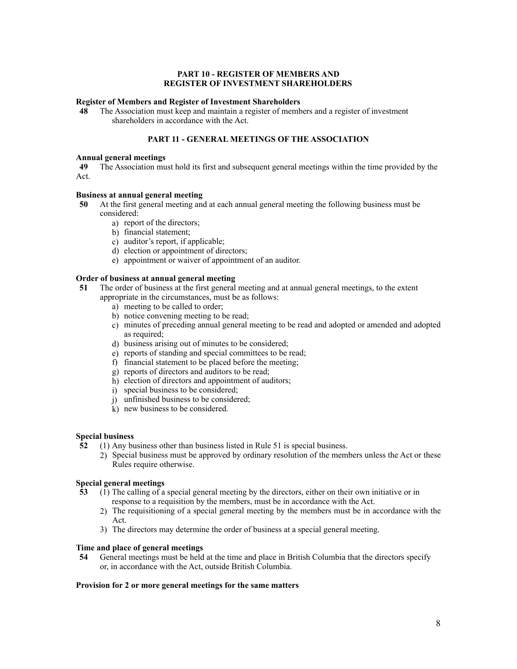## **PART 10 - REGISTER OF MEMBERS AND REGISTER OF INVESTMENT SHAREHOLDERS**

## **Register of Members and Register of Investment Shareholders**

 **48** The Association must keep and maintain a register of members and a register of investment shareholders in accordance with the Act.

# **PART 11 - GENERAL MEETINGS OF THE ASSOCIATION**

#### **Annual general meetings**

 **49** The Association must hold its first and subsequent general meetings within the time provided by the Act.

## **Business at annual general meeting**

- **50** At the first general meeting and at each annual general meeting the following business must be considered:
	- a) report of the directors;
	- b) financial statement;
	- c) auditor's report, if applicable;
	- d) election or appointment of directors;
	- e) appointment or waiver of appointment of an auditor.

## **Order of business at annual general meeting**

- **51** The order of business at the first general meeting and at annual general meetings, to the extent appropriate in the circumstances, must be as follows:
	- a) meeting to be called to order;
	- b) notice convening meeting to be read;
	- c) minutes of preceding annual general meeting to be read and adopted or amended and adopted as required;
	- d) business arising out of minutes to be considered;
	- e) reports of standing and special committees to be read;
	- f) financial statement to be placed before the meeting;
	- g) reports of directors and auditors to be read;
	- h) election of directors and appointment of auditors;
	- i) special business to be considered;
	- j) unfinished business to be considered;
	- k) new business to be considered.

## **Special business**

- **52** (1) Any business other than business listed in Rule 51 is special business.
	- 2) Special business must be approved by ordinary resolution of the members unless the Act or these Rules require otherwise.

## **Special general meetings**

- **53** (1) The calling of a special general meeting by the directors, either on their own initiative or in response to a requisition by the members, must be in accordance with the Act.
	- 2) The requisitioning of a special general meeting by the members must be in accordance with the Act.
	- 3) The directors may determine the order of business at a special general meeting.

## **Time and place of general meetings**

 **54** General meetings must be held at the time and place in British Columbia that the directors specify or, in accordance with the Act, outside British Columbia.

## **Provision for 2 or more general meetings for the same matters**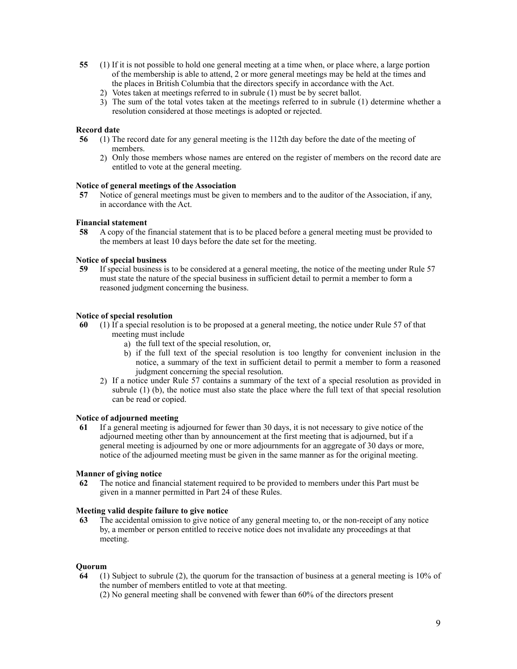- **55** (1) If it is not possible to hold one general meeting at a time when, or place where, a large portion of the membership is able to attend, 2 or more general meetings may be held at the times and the places in British Columbia that the directors specify in accordance with the Act.
	- 2) Votes taken at meetings referred to in subrule (1) must be by secret ballot.
	- 3) The sum of the total votes taken at the meetings referred to in subrule (1) determine whether a resolution considered at those meetings is adopted or rejected.

## **Record date**

- **56** (1) The record date for any general meeting is the 112th day before the date of the meeting of members.
	- 2) Only those members whose names are entered on the register of members on the record date are entitled to vote at the general meeting.

## **Notice of general meetings of the Association**

 **57** Notice of general meetings must be given to members and to the auditor of the Association, if any, in accordance with the Act.

## **Financial statement**

 **58** A copy of the financial statement that is to be placed before a general meeting must be provided to the members at least 10 days before the date set for the meeting.

#### **Notice of special business**

 **59** If special business is to be considered at a general meeting, the notice of the meeting under Rule 57 must state the nature of the special business in sufficient detail to permit a member to form a reasoned judgment concerning the business.

## **Notice of special resolution**

- **60** (1) If a special resolution is to be proposed at a general meeting, the notice under Rule 57 of that meeting must include
	- a) the full text of the special resolution, or,
	- b) if the full text of the special resolution is too lengthy for convenient inclusion in the notice, a summary of the text in sufficient detail to permit a member to form a reasoned judgment concerning the special resolution.
	- 2) If a notice under Rule 57 contains a summary of the text of a special resolution as provided in subrule (1) (b), the notice must also state the place where the full text of that special resolution can be read or copied.

## **Notice of adjourned meeting**

 **61** If a general meeting is adjourned for fewer than 30 days, it is not necessary to give notice of the adjourned meeting other than by announcement at the first meeting that is adjourned, but if a general meeting is adjourned by one or more adjournments for an aggregate of 30 days or more, notice of the adjourned meeting must be given in the same manner as for the original meeting.

## **Manner of giving notice**

 **62** The notice and financial statement required to be provided to members under this Part must be given in a manner permitted in Part 24 of these Rules.

### **Meeting valid despite failure to give notice**

 **63** The accidental omission to give notice of any general meeting to, or the non-receipt of any notice by, a member or person entitled to receive notice does not invalidate any proceedings at that meeting.

## **Quorum**

- **64** (1) Subject to subrule (2), the quorum for the transaction of business at a general meeting is 10% of the number of members entitled to vote at that meeting.
	- (2) No general meeting shall be convened with fewer than 60% of the directors present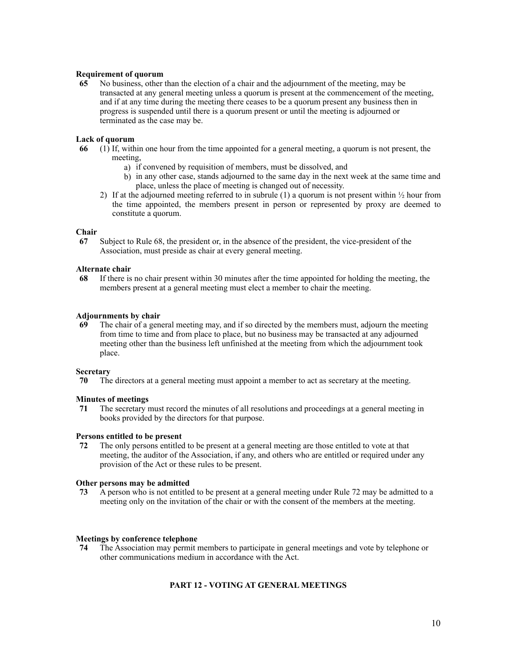## **Requirement of quorum**

 **65** No business, other than the election of a chair and the adjournment of the meeting, may be transacted at any general meeting unless a quorum is present at the commencement of the meeting, and if at any time during the meeting there ceases to be a quorum present any business then in progress is suspended until there is a quorum present or until the meeting is adjourned or terminated as the case may be.

## **Lack of quorum**

- **66** (1) If, within one hour from the time appointed for a general meeting, a quorum is not present, the meeting,
	- a) if convened by requisition of members, must be dissolved, and
	- b) in any other case, stands adjourned to the same day in the next week at the same time and place, unless the place of meeting is changed out of necessity.
	- 2) If at the adjourned meeting referred to in subrule  $(1)$  a quorum is not present within  $\frac{1}{2}$  hour from the time appointed, the members present in person or represented by proxy are deemed to constitute a quorum.

## **Chair**

 **67** Subject to Rule 68, the president or, in the absence of the president, the vice-president of the Association, must preside as chair at every general meeting.

## **Alternate chair**

 **68** If there is no chair present within 30 minutes after the time appointed for holding the meeting, the members present at a general meeting must elect a member to chair the meeting.

## **Adjournments by chair**

 **69** The chair of a general meeting may, and if so directed by the members must, adjourn the meeting from time to time and from place to place, but no business may be transacted at any adjourned meeting other than the business left unfinished at the meeting from which the adjournment took place.

## **Secretary**

 **70** The directors at a general meeting must appoint a member to act as secretary at the meeting.

## **Minutes of meetings**

 **71** The secretary must record the minutes of all resolutions and proceedings at a general meeting in books provided by the directors for that purpose.

## **Persons entitled to be present**

 **72** The only persons entitled to be present at a general meeting are those entitled to vote at that meeting, the auditor of the Association, if any, and others who are entitled or required under any provision of the Act or these rules to be present.

## **Other persons may be admitted**

 **73** A person who is not entitled to be present at a general meeting under Rule 72 may be admitted to a meeting only on the invitation of the chair or with the consent of the members at the meeting.

## **Meetings by conference telephone**

 **74** The Association may permit members to participate in general meetings and vote by telephone or other communications medium in accordance with the Act.

# **PART 12 - VOTING AT GENERAL MEETINGS**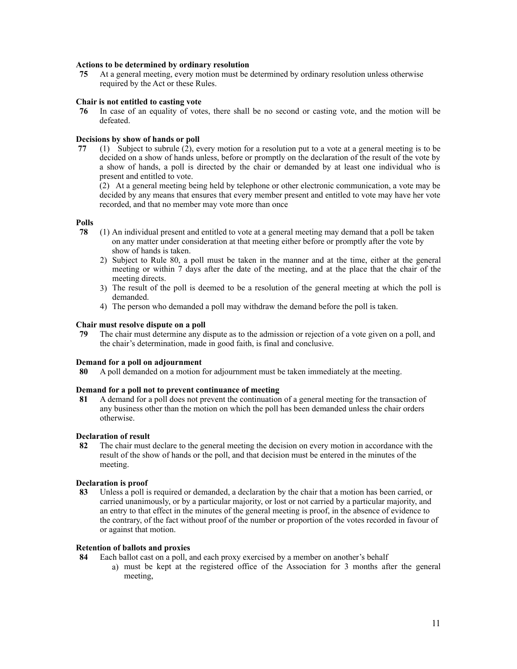## **Actions to be determined by ordinary resolution**

 **75** At a general meeting, every motion must be determined by ordinary resolution unless otherwise required by the Act or these Rules.

#### **Chair is not entitled to casting vote**

 **76** In case of an equality of votes, there shall be no second or casting vote, and the motion will be defeated.

## **Decisions by show of hands or poll**

 **77** (1) Subject to subrule (2), every motion for a resolution put to a vote at a general meeting is to be decided on a show of hands unless, before or promptly on the declaration of the result of the vote by a show of hands, a poll is directed by the chair or demanded by at least one individual who is present and entitled to vote.

(2) At a general meeting being held by telephone or other electronic communication, a vote may be decided by any means that ensures that every member present and entitled to vote may have her vote recorded, and that no member may vote more than once

#### **Polls**

- **78** (1) An individual present and entitled to vote at a general meeting may demand that a poll be taken on any matter under consideration at that meeting either before or promptly after the vote by show of hands is taken.
	- 2) Subject to Rule 80, a poll must be taken in the manner and at the time, either at the general meeting or within 7 days after the date of the meeting, and at the place that the chair of the meeting directs.
	- 3) The result of the poll is deemed to be a resolution of the general meeting at which the poll is demanded.
	- 4) The person who demanded a poll may withdraw the demand before the poll is taken.

#### **Chair must resolve dispute on a poll**

 **79** The chair must determine any dispute as to the admission or rejection of a vote given on a poll, and the chair's determination, made in good faith, is final and conclusive.

#### **Demand for a poll on adjournment**

 **80** A poll demanded on a motion for adjournment must be taken immediately at the meeting.

## **Demand for a poll not to prevent continuance of meeting**

 **81** A demand for a poll does not prevent the continuation of a general meeting for the transaction of any business other than the motion on which the poll has been demanded unless the chair orders otherwise.

## **Declaration of result**

 **82** The chair must declare to the general meeting the decision on every motion in accordance with the result of the show of hands or the poll, and that decision must be entered in the minutes of the meeting.

#### **Declaration is proof**

 **83** Unless a poll is required or demanded, a declaration by the chair that a motion has been carried, or carried unanimously, or by a particular majority, or lost or not carried by a particular majority, and an entry to that effect in the minutes of the general meeting is proof, in the absence of evidence to the contrary, of the fact without proof of the number or proportion of the votes recorded in favour of or against that motion.

## **Retention of ballots and proxies**

- **84** Each ballot cast on a poll, and each proxy exercised by a member on another's behalf
	- a) must be kept at the registered office of the Association for 3 months after the general meeting,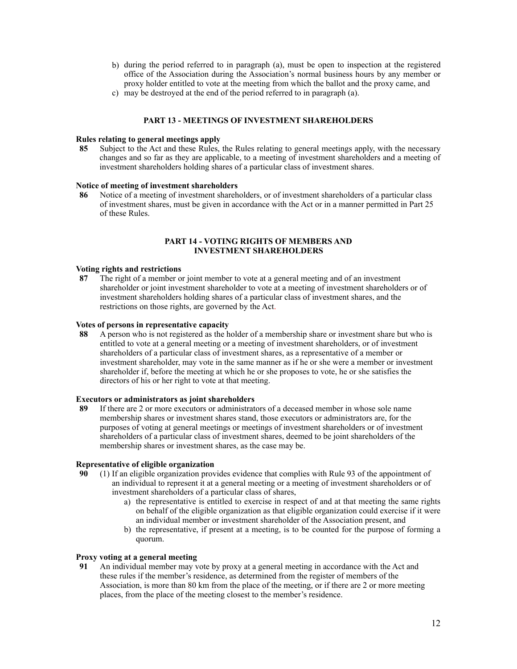- b) during the period referred to in paragraph (a), must be open to inspection at the registered office of the Association during the Association's normal business hours by any member or proxy holder entitled to vote at the meeting from which the ballot and the proxy came, and
- c) may be destroyed at the end of the period referred to in paragraph (a).

## **PART 13 - MEETINGS OF INVESTMENT SHAREHOLDERS**

## **Rules relating to general meetings apply**

 **85** Subject to the Act and these Rules, the Rules relating to general meetings apply, with the necessary changes and so far as they are applicable, to a meeting of investment shareholders and a meeting of investment shareholders holding shares of a particular class of investment shares.

#### **Notice of meeting of investment shareholders**

 **86** Notice of a meeting of investment shareholders, or of investment shareholders of a particular class of investment shares, must be given in accordance with the Act or in a manner permitted in Part 25 of these Rules.

## **PART 14 - VOTING RIGHTS OF MEMBERS AND INVESTMENT SHAREHOLDERS**

## **Voting rights and restrictions**

 **87** The right of a member or joint member to vote at a general meeting and of an investment shareholder or joint investment shareholder to vote at a meeting of investment shareholders or of investment shareholders holding shares of a particular class of investment shares, and the restrictions on those rights, are governed by the Act.

## **Votes of persons in representative capacity**

 **88** A person who is not registered as the holder of a membership share or investment share but who is entitled to vote at a general meeting or a meeting of investment shareholders, or of investment shareholders of a particular class of investment shares, as a representative of a member or investment shareholder, may vote in the same manner as if he or she were a member or investment shareholder if, before the meeting at which he or she proposes to vote, he or she satisfies the directors of his or her right to vote at that meeting.

## **Executors or administrators as joint shareholders**

 **89** If there are 2 or more executors or administrators of a deceased member in whose sole name membership shares or investment shares stand, those executors or administrators are, for the purposes of voting at general meetings or meetings of investment shareholders or of investment shareholders of a particular class of investment shares, deemed to be joint shareholders of the membership shares or investment shares, as the case may be.

## **Representative of eligible organization**

- **90** (1) If an eligible organization provides evidence that complies with Rule 93 of the appointment of an individual to represent it at a general meeting or a meeting of investment shareholders or of investment shareholders of a particular class of shares,
	- a) the representative is entitled to exercise in respect of and at that meeting the same rights on behalf of the eligible organization as that eligible organization could exercise if it were an individual member or investment shareholder of the Association present, and
	- b) the representative, if present at a meeting, is to be counted for the purpose of forming a quorum.

## **Proxy voting at a general meeting**

 **91** An individual member may vote by proxy at a general meeting in accordance with the Act and these rules if the member's residence, as determined from the register of members of the Association, is more than 80 km from the place of the meeting, or if there are 2 or more meeting places, from the place of the meeting closest to the member's residence.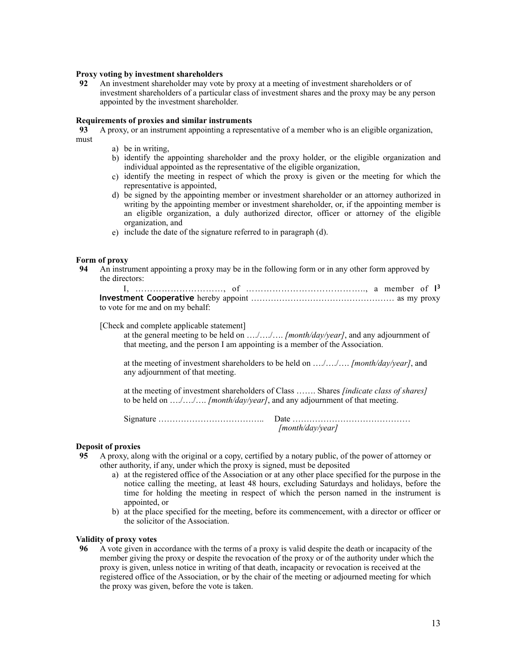## **Proxy voting by investment shareholders**

**92** An investment shareholder may vote by proxy at a meeting of investment shareholders or of investment shareholders of a particular class of investment shares and the proxy may be any person appointed by the investment shareholder.

## **Requirements of proxies and similar instruments**

**93** A proxy, or an instrument appointing a representative of a member who is an eligible organization, must

- a) be in writing,
- b) identify the appointing shareholder and the proxy holder, or the eligible organization and individual appointed as the representative of the eligible organization,
- c) identify the meeting in respect of which the proxy is given or the meeting for which the representative is appointed,
- d) be signed by the appointing member or investment shareholder or an attorney authorized in writing by the appointing member or investment shareholder, or, if the appointing member is an eligible organization, a duly authorized director, officer or attorney of the eligible organization, and
- e) include the date of the signature referred to in paragraph (d).

# **Form of proxy**<br>94 An instru

 **94** An instrument appointing a proxy may be in the following form or in any other form approved by the directors:

| to vote for me and on my behalf: |  |  |
|----------------------------------|--|--|

[Check and complete applicable statement]

 at the general meeting to be held on …./…./…. *[month/day/year]*, and any adjournment of that meeting, and the person I am appointing is a member of the Association.

 at the meeting of investment shareholders to be held on …./…./…. *[month/day/year]*, and any adjournment of that meeting.

 at the meeting of investment shareholders of Class ……. Shares *[indicate class of shares]* to be held on …./…./…. *[month/day/year]*, and any adjournment of that meeting.

 Signature ……………………………….. Date …………………………………… *[month/day/year]*

# **Deposit of proxies**

- **95** A proxy, along with the original or a copy, certified by a notary public, of the power of attorney or other authority, if any, under which the proxy is signed, must be deposited
	- a) at the registered office of the Association or at any other place specified for the purpose in the notice calling the meeting, at least 48 hours, excluding Saturdays and holidays, before the time for holding the meeting in respect of which the person named in the instrument is appointed, or
	- b) at the place specified for the meeting, before its commencement, with a director or officer or the solicitor of the Association.

## **Validity of proxy votes**

 **96** A vote given in accordance with the terms of a proxy is valid despite the death or incapacity of the member giving the proxy or despite the revocation of the proxy or of the authority under which the proxy is given, unless notice in writing of that death, incapacity or revocation is received at the registered office of the Association, or by the chair of the meeting or adjourned meeting for which the proxy was given, before the vote is taken.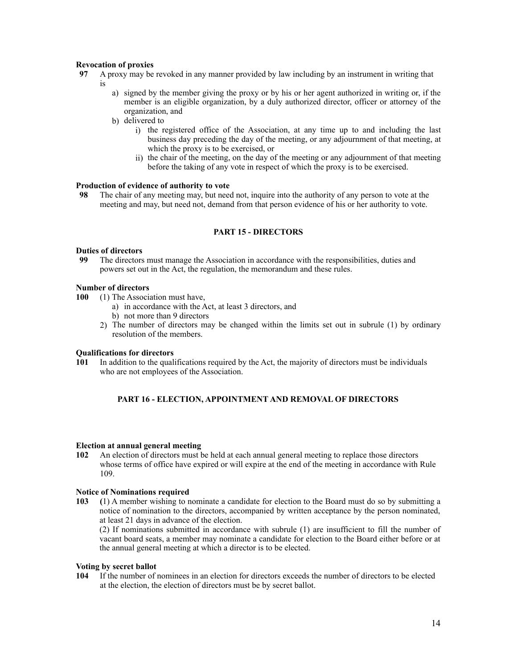## **Revocation of proxies**

- **97** A proxy may be revoked in any manner provided by law including by an instrument in writing that is
	- a) signed by the member giving the proxy or by his or her agent authorized in writing or, if the member is an eligible organization, by a duly authorized director, officer or attorney of the organization, and
	- b) delivered to
		- i) the registered office of the Association, at any time up to and including the last business day preceding the day of the meeting, or any adjournment of that meeting, at which the proxy is to be exercised, or
		- ii) the chair of the meeting, on the day of the meeting or any adjournment of that meeting before the taking of any vote in respect of which the proxy is to be exercised.

## **Production of evidence of authority to vote**

 **98** The chair of any meeting may, but need not, inquire into the authority of any person to vote at the meeting and may, but need not, demand from that person evidence of his or her authority to vote.

## **PART 15 - DIRECTORS**

# **Duties of directors**<br>**99** The directors

The directors must manage the Association in accordance with the responsibilities, duties and powers set out in the Act, the regulation, the memorandum and these rules.

## **Number of directors**

- **100** (1) The Association must have,
	- a) in accordance with the Act, at least 3 directors, and
	- b) not more than 9 directors
	- 2) The number of directors may be changed within the limits set out in subrule (1) by ordinary resolution of the members.

## **Qualifications for directors**

 **101** In addition to the qualifications required by the Act, the majority of directors must be individuals who are not employees of the Association.

## **PART 16 - ELECTION, APPOINTMENT AND REMOVAL OF DIRECTORS**

#### **Election at annual general meeting**

 **102** An election of directors must be held at each annual general meeting to replace those directors whose terms of office have expired or will expire at the end of the meeting in accordance with Rule 109.

## **Notice of Nominations required**

**103 (**1) A member wishing to nominate a candidate for election to the Board must do so by submitting a notice of nomination to the directors, accompanied by written acceptance by the person nominated, at least 21 days in advance of the election.

(2) If nominations submitted in accordance with subrule (1) are insufficient to fill the number of vacant board seats, a member may nominate a candidate for election to the Board either before or at the annual general meeting at which a director is to be elected.

## **Voting by secret ballot**

 **104** If the number of nominees in an election for directors exceeds the number of directors to be elected at the election, the election of directors must be by secret ballot.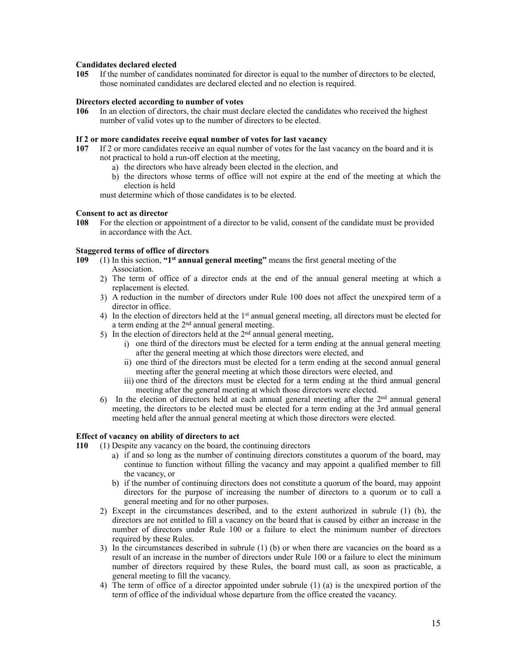## **Candidates declared elected**

 **105** If the number of candidates nominated for director is equal to the number of directors to be elected, those nominated candidates are declared elected and no election is required.

## **Directors elected according to number of votes**

**106** In an election of directors, the chair must declare elected the candidates who received the highest number of valid votes up to the number of directors to be elected.

## **If 2 or more candidates receive equal number of votes for last vacancy**

- **107** If 2 or more candidates receive an equal number of votes for the last vacancy on the board and it is not practical to hold a run-off election at the meeting,
	- a) the directors who have already been elected in the election, and
	- b) the directors whose terms of office will not expire at the end of the meeting at which the election is held

must determine which of those candidates is to be elected.

## **Consent to act as director**

**108** For the election or appointment of a director to be valid, consent of the candidate must be provided in accordance with the Act.

## **Staggered terms of office of directors**

- **109** (1) In this section, **"1st annual general meeting"** means the first general meeting of the Association.
	- 2) The term of office of a director ends at the end of the annual general meeting at which a replacement is elected.
	- 3) A reduction in the number of directors under Rule 100 does not affect the unexpired term of a director in office.
	- 4) In the election of directors held at the 1<sup>st</sup> annual general meeting, all directors must be elected for a term ending at the  $2<sup>nd</sup>$  annual general meeting.
	- 5) In the election of directors held at the  $2<sup>nd</sup>$  annual general meeting,
		- i) one third of the directors must be elected for a term ending at the annual general meeting after the general meeting at which those directors were elected, and
		- ii) one third of the directors must be elected for a term ending at the second annual general meeting after the general meeting at which those directors were elected, and
		- iii) one third of the directors must be elected for a term ending at the third annual general meeting after the general meeting at which those directors were elected.
	- 6) In the election of directors held at each annual general meeting after the  $2<sup>nd</sup>$  annual general meeting, the directors to be elected must be elected for a term ending at the 3rd annual general meeting held after the annual general meeting at which those directors were elected.

## **Effect of vacancy on ability of directors to act**

 **110** (1) Despite any vacancy on the board, the continuing directors

- a) if and so long as the number of continuing directors constitutes a quorum of the board, may continue to function without filling the vacancy and may appoint a qualified member to fill the vacancy, or
- b) if the number of continuing directors does not constitute a quorum of the board, may appoint directors for the purpose of increasing the number of directors to a quorum or to call a general meeting and for no other purposes.
- 2) Except in the circumstances described, and to the extent authorized in subrule (1) (b), the directors are not entitled to fill a vacancy on the board that is caused by either an increase in the number of directors under Rule 100 or a failure to elect the minimum number of directors required by these Rules.
- 3) In the circumstances described in subrule (1) (b) or when there are vacancies on the board as a result of an increase in the number of directors under Rule 100 or a failure to elect the minimum number of directors required by these Rules, the board must call, as soon as practicable, a general meeting to fill the vacancy.
- 4) The term of office of a director appointed under subrule (1) (a) is the unexpired portion of the term of office of the individual whose departure from the office created the vacancy.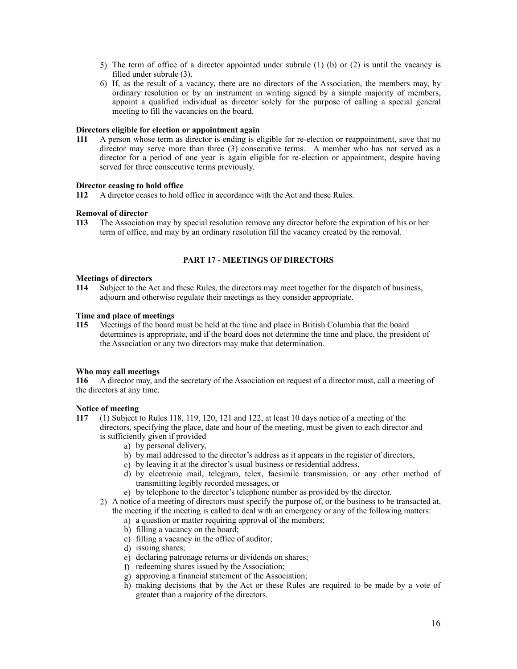- 5) The term of office of a director appointed under subrule (1) (b) or (2) is until the vacancy is filled under subrule (3).
- 6) If, as the result of a vacancy, there are no directors of the Association, the members may, by ordinary resolution or by an instrument in writing signed by a simple majority of members, appoint a qualified individual as director solely for the purpose of calling a special general meeting to fill the vacancies on the board.

## **Directors eligible for election or appointment again**

 **111** A person whose term as director is ending is eligible for re-election or reappointment, save that no director may serve more than three (3) consecutive terms. A member who has not served as a director for a period of one year is again eligible for re-election or appointment, despite having served for three consecutive terms previously.

## **Director ceasing to hold office**

 **112** A director ceases to hold office in accordance with the Act and these Rules.

## **Removal of director**

 **113** The Association may by special resolution remove any director before the expiration of his or her term of office, and may by an ordinary resolution fill the vacancy created by the removal.

# **PART 17 - MEETINGS OF DIRECTORS**

#### **Meetings of directors**

 **114** Subject to the Act and these Rules, the directors may meet together for the dispatch of business, adjourn and otherwise regulate their meetings as they consider appropriate.

## **Time and place of meetings**

 **115** Meetings of the board must be held at the time and place in British Columbia that the board determines is appropriate, and if the board does not determine the time and place, the president of the Association or any two directors may make that determination.

## **Who may call meetings**

 **116** A director may, and the secretary of the Association on request of a director must, call a meeting of the directors at any time.

#### **Notice of meeting**

- **117** (1) Subject to Rules 118, 119, 120, 121 and 122, at least 10 days notice of a meeting of the directors, specifying the place, date and hour of the meeting, must be given to each director and is sufficiently given if provided
	- a) by personal delivery,
	- b) by mail addressed to the director's address as it appears in the register of directors,
	- c) by leaving it at the director's usual business or residential address,
	- d) by electronic mail, telegram, telex, facsimile transmission, or any other method of transmitting legibly recorded messages, or
	- e) by telephone to the director's telephone number as provided by the director.
	- 2) A notice of a meeting of directors must specify the purpose of, or the business to be transacted at, the meeting if the meeting is called to deal with an emergency or any of the following matters:
		- a) a question or matter requiring approval of the members;
		- b) filling a vacancy on the board;
		- c) filling a vacancy in the office of auditor;
		- d) issuing shares;
		- e) declaring patronage returns or dividends on shares;
		- f) redeeming shares issued by the Association;
		- g) approving a financial statement of the Association;
		- h) making decisions that by the Act or these Rules are required to be made by a vote of greater than a majority of the directors.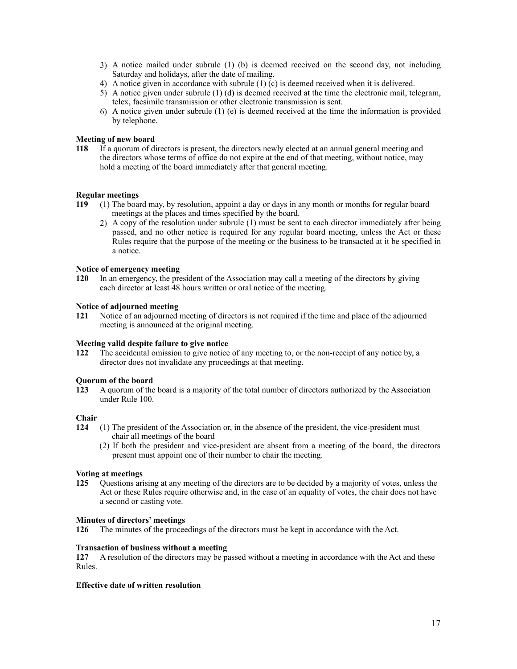- 3) A notice mailed under subrule (1) (b) is deemed received on the second day, not including Saturday and holidays, after the date of mailing.
- 4) A notice given in accordance with subrule  $(1)$  (c) is deemed received when it is delivered.
- 5) A notice given under subrule (1) (d) is deemed received at the time the electronic mail, telegram, telex, facsimile transmission or other electronic transmission is sent.
- 6) A notice given under subrule (1) (e) is deemed received at the time the information is provided by telephone.

## **Meeting of new board**

 **118** If a quorum of directors is present, the directors newly elected at an annual general meeting and the directors whose terms of office do not expire at the end of that meeting, without notice, may hold a meeting of the board immediately after that general meeting.

## **Regular meetings**

- **119** (1) The board may, by resolution, appoint a day or days in any month or months for regular board meetings at the places and times specified by the board.
	- 2) A copy of the resolution under subrule (1) must be sent to each director immediately after being passed, and no other notice is required for any regular board meeting, unless the Act or these Rules require that the purpose of the meeting or the business to be transacted at it be specified in a notice.

## **Notice of emergency meeting**

 **120** In an emergency, the president of the Association may call a meeting of the directors by giving each director at least 48 hours written or oral notice of the meeting.

## **Notice of adjourned meeting**

 **121** Notice of an adjourned meeting of directors is not required if the time and place of the adjourned meeting is announced at the original meeting.

## **Meeting valid despite failure to give notice**

 **122** The accidental omission to give notice of any meeting to, or the non-receipt of any notice by, a director does not invalidate any proceedings at that meeting.

## **Quorum of the board**

 **123** A quorum of the board is a majority of the total number of directors authorized by the Association under Rule 100.

## **Chair**

- **124** (1) The president of the Association or, in the absence of the president, the vice-president must chair all meetings of the board
	- (2) If both the president and vice-president are absent from a meeting of the board, the directors present must appoint one of their number to chair the meeting.

## **Voting at meetings**

 **125** Questions arising at any meeting of the directors are to be decided by a majority of votes, unless the Act or these Rules require otherwise and, in the case of an equality of votes, the chair does not have a second or casting vote.

## **Minutes of directors' meetings**

 **126** The minutes of the proceedings of the directors must be kept in accordance with the Act.

## **Transaction of business without a meeting**

**127** A resolution of the directors may be passed without a meeting in accordance with the Act and these Rules.

## **Effective date of written resolution**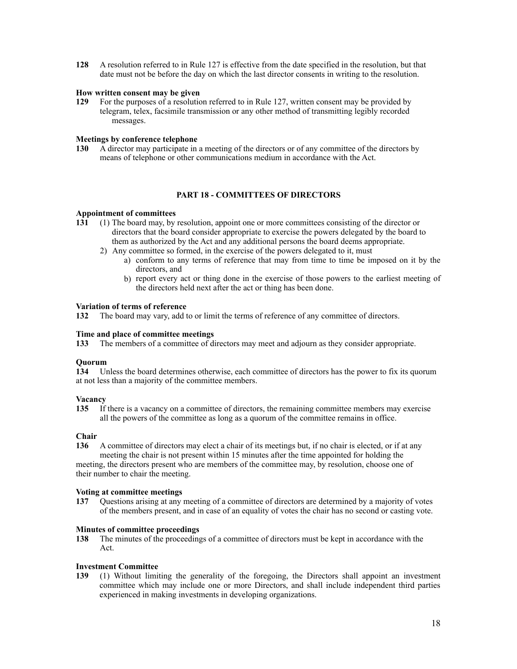**128** A resolution referred to in Rule 127 is effective from the date specified in the resolution, but that date must not be before the day on which the last director consents in writing to the resolution.

## **How written consent may be given**

 **129** For the purposes of a resolution referred to in Rule 127, written consent may be provided by telegram, telex, facsimile transmission or any other method of transmitting legibly recorded messages.

## **Meetings by conference telephone**

 **130** A director may participate in a meeting of the directors or of any committee of the directors by means of telephone or other communications medium in accordance with the Act.

## **PART 18 - COMMITTEES OF DIRECTORS**

#### **Appointment of committees**

- **131** (1) The board may, by resolution, appoint one or more committees consisting of the director or directors that the board consider appropriate to exercise the powers delegated by the board to them as authorized by the Act and any additional persons the board deems appropriate.
	- 2) Any committee so formed, in the exercise of the powers delegated to it, must
		- a) conform to any terms of reference that may from time to time be imposed on it by the directors, and
			- b) report every act or thing done in the exercise of those powers to the earliest meeting of the directors held next after the act or thing has been done.

## **Variation of terms of reference**

 **132** The board may vary, add to or limit the terms of reference of any committee of directors.

## **Time and place of committee meetings**

 **133** The members of a committee of directors may meet and adjourn as they consider appropriate.

## **Quorum**

 **134** Unless the board determines otherwise, each committee of directors has the power to fix its quorum at not less than a majority of the committee members.

## **Vacancy**

**135** If there is a vacancy on a committee of directors, the remaining committee members may exercise all the powers of the committee as long as a quorum of the committee remains in office.

## **Chair**

**136** A committee of directors may elect a chair of its meetings but, if no chair is elected, or if at any

 meeting the chair is not present within 15 minutes after the time appointed for holding the meeting, the directors present who are members of the committee may, by resolution, choose one of their number to chair the meeting.

## **Voting at committee meetings**

 **137** Questions arising at any meeting of a committee of directors are determined by a majority of votes of the members present, and in case of an equality of votes the chair has no second or casting vote.

## **Minutes of committee proceedings**

**138** The minutes of the proceedings of a committee of directors must be kept in accordance with the Act.

## **Investment Committee**

**139** (1) Without limiting the generality of the foregoing, the Directors shall appoint an investment committee which may include one or more Directors, and shall include independent third parties experienced in making investments in developing organizations.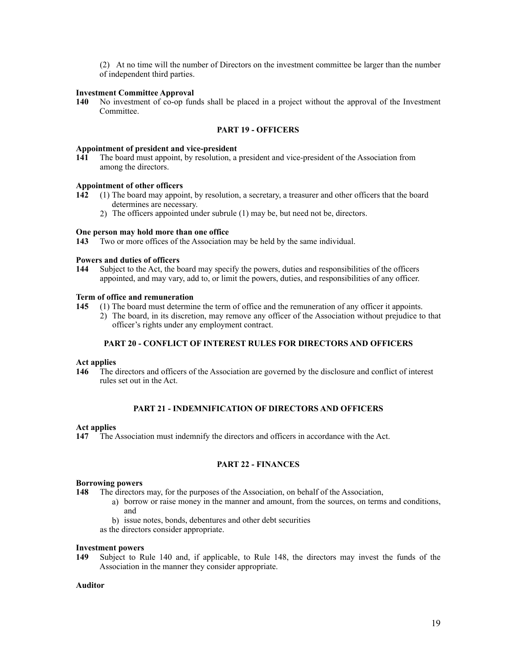(2) At no time will the number of Directors on the investment committee be larger than the number of independent third parties.

## **Investment Committee Approval**

**140** No investment of co-op funds shall be placed in a project without the approval of the Investment Committee.

## **PART 19 - OFFICERS**

#### **Appointment of president and vice-president**

 **141** The board must appoint, by resolution, a president and vice-president of the Association from among the directors.

## **Appointment of other officers**

- **142** (1) The board may appoint, by resolution, a secretary, a treasurer and other officers that the board determines are necessary.
	- 2) The officers appointed under subrule (1) may be, but need not be, directors.

## **One person may hold more than one office**

 **143** Two or more offices of the Association may be held by the same individual.

#### **Powers and duties of officers**

 **144** Subject to the Act, the board may specify the powers, duties and responsibilities of the officers appointed, and may vary, add to, or limit the powers, duties, and responsibilities of any officer.

## **Term of office and remuneration**

 **145** (1) The board must determine the term of office and the remuneration of any officer it appoints.

2) The board, in its discretion, may remove any officer of the Association without prejudice to that officer's rights under any employment contract.

## **PART 20 - CONFLICT OF INTEREST RULES FOR DIRECTORS AND OFFICERS**

#### **Act applies**

 **146** The directors and officers of the Association are governed by the disclosure and conflict of interest rules set out in the Act.

## **PART 21 - INDEMNIFICATION OF DIRECTORS AND OFFICERS**

#### **Act applies**

 **147** The Association must indemnify the directors and officers in accordance with the Act.

## **PART 22 - FINANCES**

#### **Borrowing powers**

 **148** The directors may, for the purposes of the Association, on behalf of the Association,

- a) borrow or raise money in the manner and amount, from the sources, on terms and conditions, and
- b) issue notes, bonds, debentures and other debt securities

as the directors consider appropriate.

#### **Investment powers**

 **149** Subject to Rule 140 and, if applicable, to Rule 148, the directors may invest the funds of the Association in the manner they consider appropriate.

## **Auditor**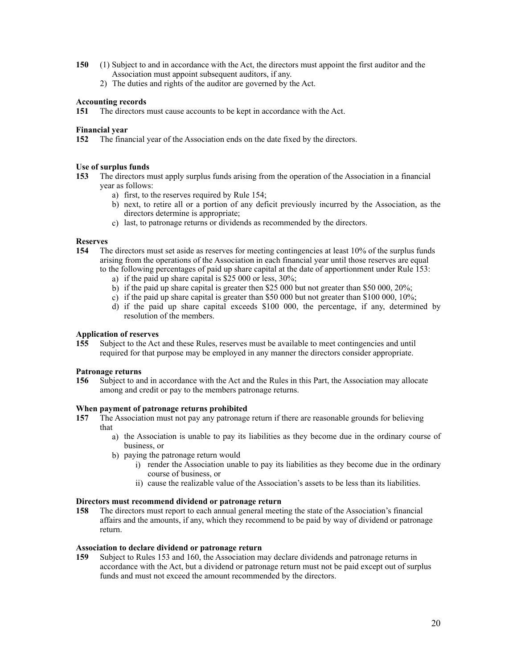- **150** (1) Subject to and in accordance with the Act, the directors must appoint the first auditor and the Association must appoint subsequent auditors, if any.
	- 2) The duties and rights of the auditor are governed by the Act.

## **Accounting records**

 **151** The directors must cause accounts to be kept in accordance with the Act.

## **Financial year**

 **152** The financial year of the Association ends on the date fixed by the directors.

## **Use of surplus funds**

- **153** The directors must apply surplus funds arising from the operation of the Association in a financial year as follows:
	- a) first, to the reserves required by Rule 154;
	- b) next, to retire all or a portion of any deficit previously incurred by the Association, as the directors determine is appropriate;
	- c) last, to patronage returns or dividends as recommended by the directors.

## **Reserves**

- **154** The directors must set aside as reserves for meeting contingencies at least 10% of the surplus funds arising from the operations of the Association in each financial year until those reserves are equal to the following percentages of paid up share capital at the date of apportionment under Rule 153:
	- a) if the paid up share capital is \$25 000 or less, 30%;
	- b) if the paid up share capital is greater then \$25 000 but not greater than \$50 000, 20%;
	- c) if the paid up share capital is greater than \$50 000 but not greater than \$100 000, 10%;
	- d) if the paid up share capital exceeds \$100 000, the percentage, if any, determined by resolution of the members.

## **Application of reserves**

**155** Subject to the Act and these Rules, reserves must be available to meet contingencies and until required for that purpose may be employed in any manner the directors consider appropriate.

## **Patronage returns**

 **156** Subject to and in accordance with the Act and the Rules in this Part, the Association may allocate among and credit or pay to the members patronage returns.

## **When payment of patronage returns prohibited**

- **157** The Association must not pay any patronage return if there are reasonable grounds for believing that
	- a) the Association is unable to pay its liabilities as they become due in the ordinary course of business, or
	- b) paying the patronage return would
		- i) render the Association unable to pay its liabilities as they become due in the ordinary course of business, or
		- ii) cause the realizable value of the Association's assets to be less than its liabilities.

## **Directors must recommend dividend or patronage return**

**158** The directors must report to each annual general meeting the state of the Association's financial affairs and the amounts, if any, which they recommend to be paid by way of dividend or patronage return.

## **Association to declare dividend or patronage return**

 **159** Subject to Rules 153 and 160, the Association may declare dividends and patronage returns in accordance with the Act, but a dividend or patronage return must not be paid except out of surplus funds and must not exceed the amount recommended by the directors.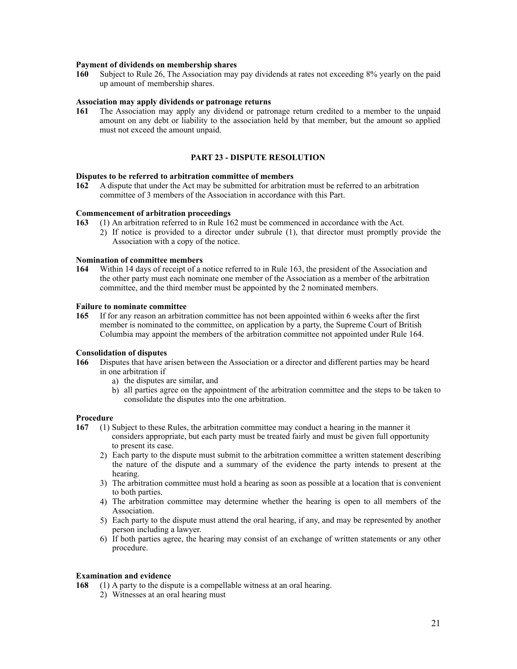#### **Payment of dividends on membership shares**

**160** Subject to Rule 26, The Association may pay dividends at rates not exceeding 8% yearly on the paid up amount of membership shares.

## **Association may apply dividends or patronage returns**

 **161** The Association may apply any dividend or patronage return credited to a member to the unpaid amount on any debt or liability to the association held by that member, but the amount so applied must not exceed the amount unpaid.

## **PART 23 - DISPUTE RESOLUTION**

## **Disputes to be referred to arbitration committee of members**

 **162** A dispute that under the Act may be submitted for arbitration must be referred to an arbitration committee of 3 members of the Association in accordance with this Part.

#### **Commencement of arbitration proceedings**

- **163** (1) An arbitration referred to in Rule 162 must be commenced in accordance with the Act.
	- 2) If notice is provided to a director under subrule (1), that director must promptly provide the Association with a copy of the notice.

## **Nomination of committee members**

 **164** Within 14 days of receipt of a notice referred to in Rule 163, the president of the Association and the other party must each nominate one member of the Association as a member of the arbitration committee, and the third member must be appointed by the 2 nominated members.

## **Failure to nominate committee**

 **165** If for any reason an arbitration committee has not been appointed within 6 weeks after the first member is nominated to the committee, on application by a party, the Supreme Court of British Columbia may appoint the members of the arbitration committee not appointed under Rule 164.

## **Consolidation of disputes**

- **166** Disputes that have arisen between the Association or a director and different parties may be heard in one arbitration if
	- a) the disputes are similar, and
	- b) all parties agree on the appointment of the arbitration committee and the steps to be taken to consolidate the disputes into the one arbitration.

## **Procedure**

- **167** (1) Subject to these Rules, the arbitration committee may conduct a hearing in the manner it considers appropriate, but each party must be treated fairly and must be given full opportunity to present its case.
	- 2) Each party to the dispute must submit to the arbitration committee a written statement describing the nature of the dispute and a summary of the evidence the party intends to present at the hearing.
	- 3) The arbitration committee must hold a hearing as soon as possible at a location that is convenient to both parties.
	- 4) The arbitration committee may determine whether the hearing is open to all members of the Association.
	- 5) Each party to the dispute must attend the oral hearing, if any, and may be represented by another person including a lawyer.
	- 6) If both parties agree, the hearing may consist of an exchange of written statements or any other procedure.

## **Examination and evidence**

 **168** (1) A party to the dispute is a compellable witness at an oral hearing.

2) Witnesses at an oral hearing must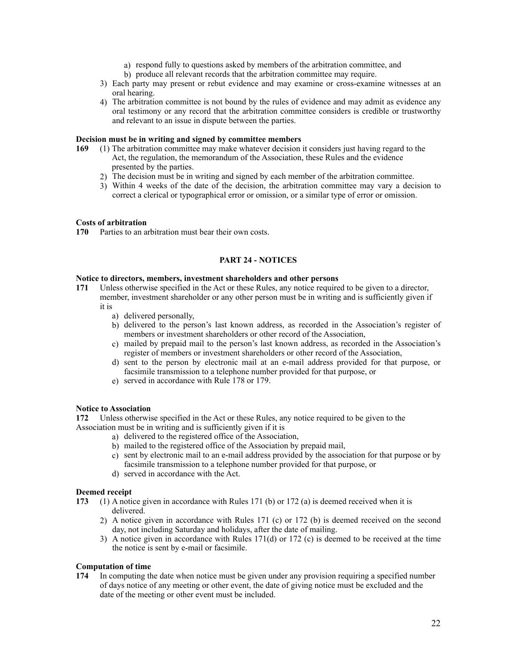- a) respond fully to questions asked by members of the arbitration committee, and
- b) produce all relevant records that the arbitration committee may require.
- 3) Each party may present or rebut evidence and may examine or cross-examine witnesses at an oral hearing.
- 4) The arbitration committee is not bound by the rules of evidence and may admit as evidence any oral testimony or any record that the arbitration committee considers is credible or trustworthy and relevant to an issue in dispute between the parties.

## **Decision must be in writing and signed by committee members**

- **169** (1) The arbitration committee may make whatever decision it considers just having regard to the Act, the regulation, the memorandum of the Association, these Rules and the evidence presented by the parties.
	- 2) The decision must be in writing and signed by each member of the arbitration committee.
	- 3) Within 4 weeks of the date of the decision, the arbitration committee may vary a decision to correct a clerical or typographical error or omission, or a similar type of error or omission.

#### **Costs of arbitration**

 **170** Parties to an arbitration must bear their own costs.

# **PART 24 - NOTICES**

#### **Notice to directors, members, investment shareholders and other persons**

- **171** Unless otherwise specified in the Act or these Rules, any notice required to be given to a director, member, investment shareholder or any other person must be in writing and is sufficiently given if it is
	- a) delivered personally,
	- b) delivered to the person's last known address, as recorded in the Association's register of members or investment shareholders or other record of the Association,
	- c) mailed by prepaid mail to the person's last known address, as recorded in the Association's register of members or investment shareholders or other record of the Association,
	- d) sent to the person by electronic mail at an e-mail address provided for that purpose, or facsimile transmission to a telephone number provided for that purpose, or
	- e) served in accordance with Rule 178 or 179.

## **Notice to Association**

 **172** Unless otherwise specified in the Act or these Rules, any notice required to be given to the Association must be in writing and is sufficiently given if it is

- a) delivered to the registered office of the Association,
- b) mailed to the registered office of the Association by prepaid mail,
- c) sent by electronic mail to an e-mail address provided by the association for that purpose or by facsimile transmission to a telephone number provided for that purpose, or
- d) served in accordance with the Act.

## **Deemed receipt**

- **173** (1) A notice given in accordance with Rules 171 (b) or 172 (a) is deemed received when it is delivered.
	- 2) A notice given in accordance with Rules 171 (c) or 172 (b) is deemed received on the second day, not including Saturday and holidays, after the date of mailing.
	- 3) A notice given in accordance with Rules 171(d) or 172 (c) is deemed to be received at the time the notice is sent by e-mail or facsimile.

## **Computation of time**

**174** In computing the date when notice must be given under any provision requiring a specified number of days notice of any meeting or other event, the date of giving notice must be excluded and the date of the meeting or other event must be included.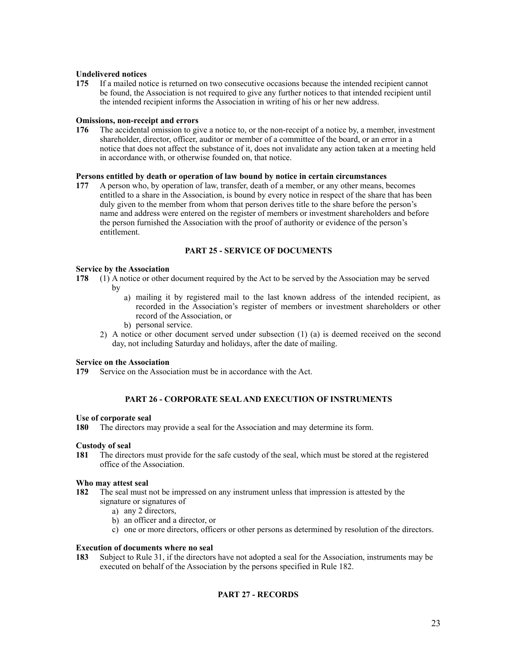## **Undelivered notices**

 **175** If a mailed notice is returned on two consecutive occasions because the intended recipient cannot be found, the Association is not required to give any further notices to that intended recipient until the intended recipient informs the Association in writing of his or her new address.

## **Omissions, non-receipt and errors**

**176** The accidental omission to give a notice to, or the non-receipt of a notice by, a member, investment shareholder, director, officer, auditor or member of a committee of the board, or an error in a notice that does not affect the substance of it, does not invalidate any action taken at a meeting held in accordance with, or otherwise founded on, that notice.

## **Persons entitled by death or operation of law bound by notice in certain circumstances**

 **177** A person who, by operation of law, transfer, death of a member, or any other means, becomes entitled to a share in the Association, is bound by every notice in respect of the share that has been duly given to the member from whom that person derives title to the share before the person's name and address were entered on the register of members or investment shareholders and before the person furnished the Association with the proof of authority or evidence of the person's entitlement.

# **PART 25 - SERVICE OF DOCUMENTS**

## **Service by the Association**

- **178** (1) A notice or other document required by the Act to be served by the Association may be served by
	- a) mailing it by registered mail to the last known address of the intended recipient, as recorded in the Association's register of members or investment shareholders or other record of the Association, or
	- b) personal service.
	- 2) A notice or other document served under subsection (1) (a) is deemed received on the second day, not including Saturday and holidays, after the date of mailing.

## **Service on the Association**

 **179** Service on the Association must be in accordance with the Act.

## **PART 26 - CORPORATE SEAL AND EXECUTION OF INSTRUMENTS**

## **Use of corporate seal**

 **180** The directors may provide a seal for the Association and may determine its form.

## **Custody of seal**

**181** The directors must provide for the safe custody of the seal, which must be stored at the registered office of the Association.

## **Who may attest seal**

- **182** The seal must not be impressed on any instrument unless that impression is attested by the signature or signatures of
	- a) any 2 directors,
	- b) an officer and a director, or
	- c) one or more directors, officers or other persons as determined by resolution of the directors.

## **Execution of documents where no seal**

 **183** Subject to Rule 31, if the directors have not adopted a seal for the Association, instruments may be executed on behalf of the Association by the persons specified in Rule 182.

# **PART 27 - RECORDS**